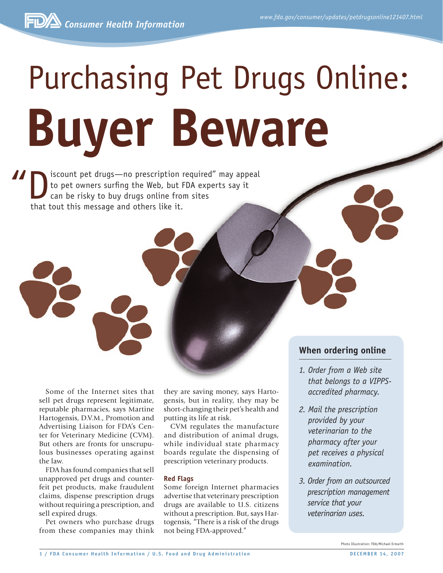# Purchasing Pet Drugs Online: **Buyer Beware**

If is count pet drugs—no prescription required" may appeal<br>to pet owners surfing the Web, but FDA experts say it<br>can be risky to buy drugs online from sites<br>that tout this message and others like it to pet owners surfing the Web, but FDA experts say it can be risky to buy drugs online from sites that tout this message and others like it.

> Some of the Internet sites that sell pet drugs represent legitimate, reputable pharmacies, says Martine Hartogensis, D.V.M., Promotion and Advertising Liaison for FDA's Center for Veterinary Medicine (CVM). But others are fronts for unscrupulous businesses operating against the law.

> FDA has found companies that sell unapproved pet drugs and counterfeit pet products, make fraudulent claims, dispense prescription drugs without requiring a prescription, and sell expired drugs.

> Pet owners who purchase drugs from these companies may think

they are saving money, says Hartogensis, but in reality, they may be short-changing their pet's health and putting its life at risk.

CVM regulates the manufacture and distribution of animal drugs, while individual state pharmacy boards regulate the dispensing of prescription veterinary products.

## **Red Flags**

Some foreign Internet pharmacies advertise that veterinary prescription drugs are available to U.S. citizens without a prescription. But, says Hartogensis, "There is a risk of the drugs not being FDA-approved."

# **When ordering online**

- *1. Order from a Web site that belongs to a VIPPSaccredited pharmacy.*
- *2. Mail the prescription provided by your veterinarian to the pharmacy after your pet receives a physical examination.*
- *3. Order from an outsourced prescription management service that your veterinarian uses.*